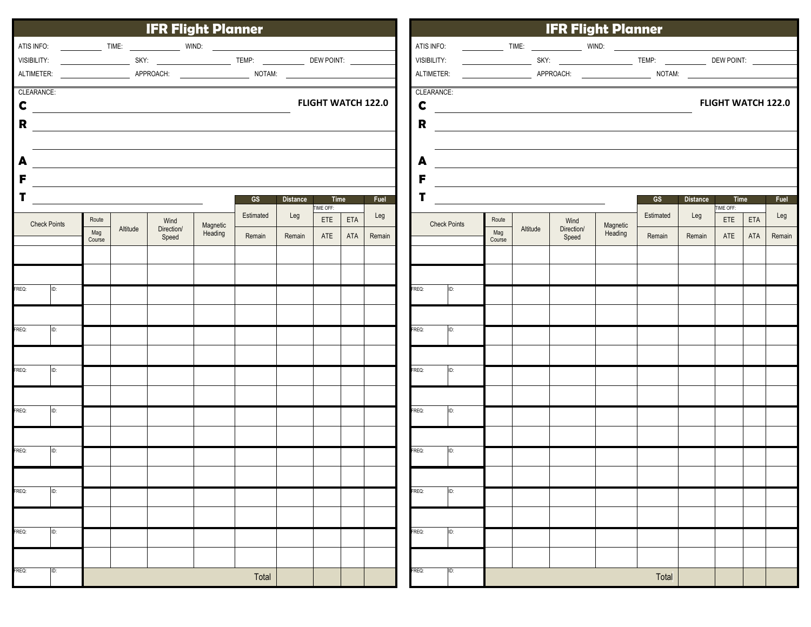|                                          | <b>IFR Flight Planner</b> |                                       |          |                     |                     |           |        |                                          |     |        |   |                                                                                                                            | <b>IFR Flight Planner</b> |               |          |                     |                     |           |        |                 |     |        |  |  |
|------------------------------------------|---------------------------|---------------------------------------|----------|---------------------|---------------------|-----------|--------|------------------------------------------|-----|--------|---|----------------------------------------------------------------------------------------------------------------------------|---------------------------|---------------|----------|---------------------|---------------------|-----------|--------|-----------------|-----|--------|--|--|
|                                          |                           |                                       |          |                     |                     |           |        |                                          |     |        |   |                                                                                                                            |                           |               |          |                     |                     |           |        |                 |     |        |  |  |
|                                          |                           |                                       |          |                     |                     |           |        |                                          |     |        |   |                                                                                                                            |                           |               |          |                     |                     |           |        |                 |     |        |  |  |
|                                          |                           |                                       |          |                     |                     |           |        |                                          |     |        |   | ALTIMETER:                                                                                                                 |                           |               |          |                     |                     |           |        |                 |     |        |  |  |
|                                          | CLEARANCE:                |                                       |          |                     |                     |           |        |                                          |     |        |   | CLEARANCE:                                                                                                                 |                           |               |          |                     |                     |           |        |                 |     |        |  |  |
| <b>FLIGHT WATCH 122.0</b><br>$\mathbf c$ |                           |                                       |          |                     |                     |           |        | <b>FLIGHT WATCH 122.0</b><br>$\mathbf c$ |     |        |   |                                                                                                                            |                           |               |          |                     |                     |           |        |                 |     |        |  |  |
| R                                        |                           |                                       |          |                     |                     |           |        |                                          |     |        |   | $R \begin{array}{c} \begin{array}{c} \begin{array}{c} \end{array} \\ \begin{array}{c} \end{array} \end{array} \end{array}$ |                           |               |          |                     |                     |           |        |                 |     |        |  |  |
|                                          |                           |                                       |          |                     |                     |           |        |                                          |     |        |   |                                                                                                                            |                           |               |          |                     |                     |           |        |                 |     |        |  |  |
| A                                        |                           |                                       |          |                     |                     |           |        |                                          |     |        | A |                                                                                                                            |                           |               |          |                     |                     |           |        |                 |     |        |  |  |
| F                                        |                           |                                       |          |                     |                     |           |        |                                          |     |        |   | F                                                                                                                          |                           |               |          |                     |                     |           |        |                 |     |        |  |  |
|                                          |                           | GS<br><b>Distance</b><br>Time<br>Fuel |          |                     |                     |           |        |                                          |     |        |   |                                                                                                                            |                           |               | GS       | Distance            | Time                |           | Fuel   |                 |     |        |  |  |
|                                          |                           | Route                                 |          | Wind                |                     | Estimated | Leg    | TIME OFF:<br>ETE                         | ETA | Leg    |   |                                                                                                                            |                           | Route         |          | Wind                |                     | Estimated | Leg    | IME OFF:<br>ETE | ETA | Leg    |  |  |
| <b>Check Points</b>                      |                           | Mag<br>Course                         | Altitude | Direction/<br>Speed | Magnetic<br>Heading | Remain    | Remain | ATE                                      | ATA | Remain |   | <b>Check Points</b>                                                                                                        |                           | Mag<br>Course | Altitude | Direction/<br>Speed | Magnetic<br>Heading | Remain    | Remain | ATE             | ATA | Remain |  |  |
|                                          |                           |                                       |          |                     |                     |           |        |                                          |     |        |   |                                                                                                                            |                           |               |          |                     |                     |           |        |                 |     |        |  |  |
|                                          |                           |                                       |          |                     |                     |           |        |                                          |     |        |   |                                                                                                                            |                           |               |          |                     |                     |           |        |                 |     |        |  |  |
| FREQ:                                    | ID:                       |                                       |          |                     |                     |           |        |                                          |     |        |   | FREQ:<br>ID:                                                                                                               |                           |               |          |                     |                     |           |        |                 |     |        |  |  |
|                                          |                           |                                       |          |                     |                     |           |        |                                          |     |        |   |                                                                                                                            |                           |               |          |                     |                     |           |        |                 |     |        |  |  |
| FREQ:                                    | ID:                       |                                       |          |                     |                     |           |        |                                          |     |        |   | FREQ:<br>ID:                                                                                                               |                           |               |          |                     |                     |           |        |                 |     |        |  |  |
|                                          |                           |                                       |          |                     |                     |           |        |                                          |     |        |   |                                                                                                                            |                           |               |          |                     |                     |           |        |                 |     |        |  |  |
| FREQ:                                    | ID:                       |                                       |          |                     |                     |           |        |                                          |     |        |   | FREQ:<br>ID:                                                                                                               |                           |               |          |                     |                     |           |        |                 |     |        |  |  |
|                                          |                           |                                       |          |                     |                     |           |        |                                          |     |        |   |                                                                                                                            |                           |               |          |                     |                     |           |        |                 |     |        |  |  |
|                                          |                           |                                       |          |                     |                     |           |        |                                          |     |        |   |                                                                                                                            |                           |               |          |                     |                     |           |        |                 |     |        |  |  |
| FREQ:                                    | ID:                       |                                       |          |                     |                     |           |        |                                          |     |        |   | FREQ:<br>ID:                                                                                                               |                           |               |          |                     |                     |           |        |                 |     |        |  |  |
|                                          |                           |                                       |          |                     |                     |           |        |                                          |     |        |   |                                                                                                                            |                           |               |          |                     |                     |           |        |                 |     |        |  |  |
| FREQ:                                    | ID:                       |                                       |          |                     |                     |           |        |                                          |     |        |   | <b>REQ:</b><br>ID:                                                                                                         |                           |               |          |                     |                     |           |        |                 |     |        |  |  |
|                                          |                           |                                       |          |                     |                     |           |        |                                          |     |        |   |                                                                                                                            |                           |               |          |                     |                     |           |        |                 |     |        |  |  |
| FREQ:                                    | ID:                       |                                       |          |                     |                     |           |        |                                          |     |        |   | FREQ:<br>ID:                                                                                                               |                           |               |          |                     |                     |           |        |                 |     |        |  |  |
|                                          |                           |                                       |          |                     |                     |           |        |                                          |     |        |   |                                                                                                                            |                           |               |          |                     |                     |           |        |                 |     |        |  |  |
| FREQ:                                    | ID:                       |                                       |          |                     |                     |           |        |                                          |     |        |   | FREQ:<br>ID:                                                                                                               |                           |               |          |                     |                     |           |        |                 |     |        |  |  |
|                                          |                           |                                       |          |                     |                     |           |        |                                          |     |        |   |                                                                                                                            |                           |               |          |                     |                     |           |        |                 |     |        |  |  |
|                                          |                           |                                       |          |                     |                     |           |        |                                          |     |        |   |                                                                                                                            |                           |               |          |                     |                     |           |        |                 |     |        |  |  |
| FREQ:                                    | ID:<br>Total              |                                       |          |                     |                     |           |        |                                          |     |        |   | FREQ:                                                                                                                      |                           |               |          |                     |                     | Total     |        |                 |     |        |  |  |